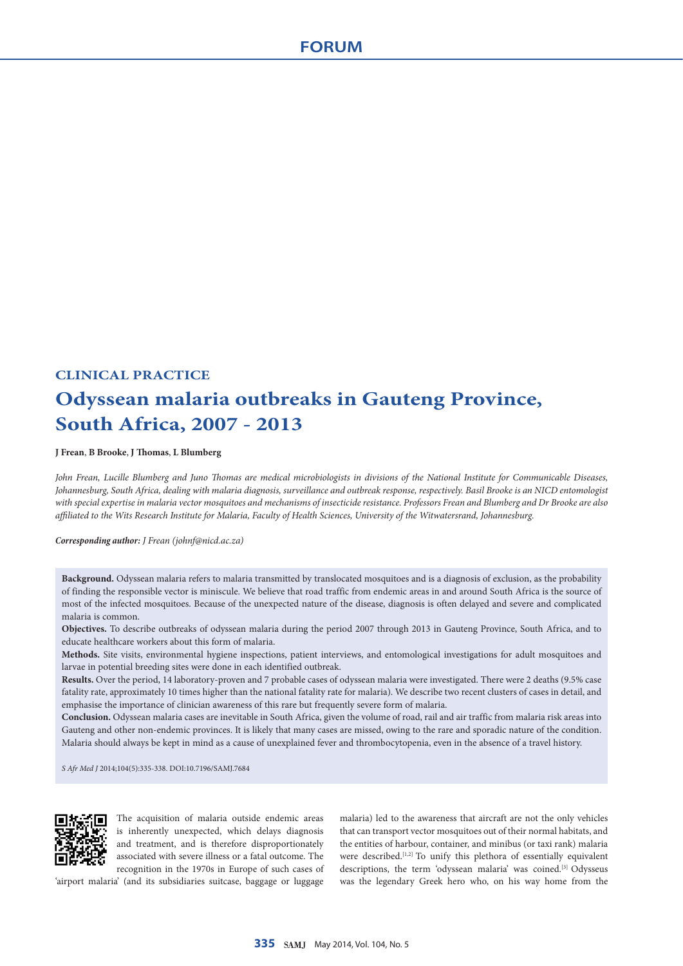# **CLINICAL PRACTICE Odyssean malaria outbreaks in Gauteng Province, South Africa, 2007 - 2013**

**J Frean**, **B Brooke**, **J Thomas**, **L Blumberg**

John Frean, Lucille Blumberg and Juno Thomas are medical microbiologists in divisions of the National Institute for Communicable Diseases, *Johannesburg, South Africa, dealing with malaria diagnosis, surveillance and outbreak response, respectively. Basil Brooke is an NICD entomologist with special expertise in malaria vector mosquitoes and mechanisms of insecticide resistance. Professors Frean and Blumberg and Dr Brooke are also affiliated to the Wits Research Institute for Malaria, Faculty of Health Sciences, University of the Witwatersrand, Johannesburg.*

*Corresponding author: J Frean ([johnf@nicd.ac.za\)](mailto:johnf@nicd.ac.za)*

**Background.** Odyssean malaria refers to malaria transmitted by translocated mosquitoes and is a diagnosis of exclusion, as the probability of finding the responsible vector is miniscule. We believe that road traffic from endemic areas in and around South Africa is the source of most of the infected mosquitoes. Because of the unexpected nature of the disease, diagnosis is often delayed and severe and complicated malaria is common.

**Objectives.** To describe outbreaks of odyssean malaria during the period 2007 through 2013 in Gauteng Province, South Africa, and to educate healthcare workers about this form of malaria.

**Methods.** Site visits, environmental hygiene inspections, patient interviews, and entomological investigations for adult mosquitoes and larvae in potential breeding sites were done in each identified outbreak.

**Results.** Over the period, 14 laboratory-proven and 7 probable cases of odyssean malaria were investigated. There were 2 deaths (9.5% case fatality rate, approximately 10 times higher than the national fatality rate for malaria). We describe two recent clusters of cases in detail, and emphasise the importance of clinician awareness of this rare but frequently severe form of malaria.

**Conclusion.** Odyssean malaria cases are inevitable in South Africa, given the volume of road, rail and air traffic from malaria risk areas into Gauteng and other non-endemic provinces. It is likely that many cases are missed, owing to the rare and sporadic nature of the condition. Malaria should always be kept in mind as a cause of unexplained fever and thrombocytopenia, even in the absence of a travel history.

*S Afr Med J* 2014;104(5):335-338. DOI:10.7196/SAMJ.7684



The acquisition of malaria outside endemic areas is inherently unexpected, which delays diagnosis and treatment, and is therefore disproportionately associated with severe illness or a fatal outcome. The recognition in the 1970s in Europe of such cases of malaria) led to the awareness that aircraft are not the only vehicles that can transport vector mosquitoes out of their normal habitats, and the entities of harbour, container, and minibus (or taxi rank) malaria were described.<sup>[1,2]</sup> To unify this plethora of essentially equivalent descriptions, the term 'odyssean malaria' was coined.<sup>[3]</sup> Odysseus was the legendary Greek hero who, on his way home from the

'airport malaria' (and its subsidiaries suitcase, baggage or luggage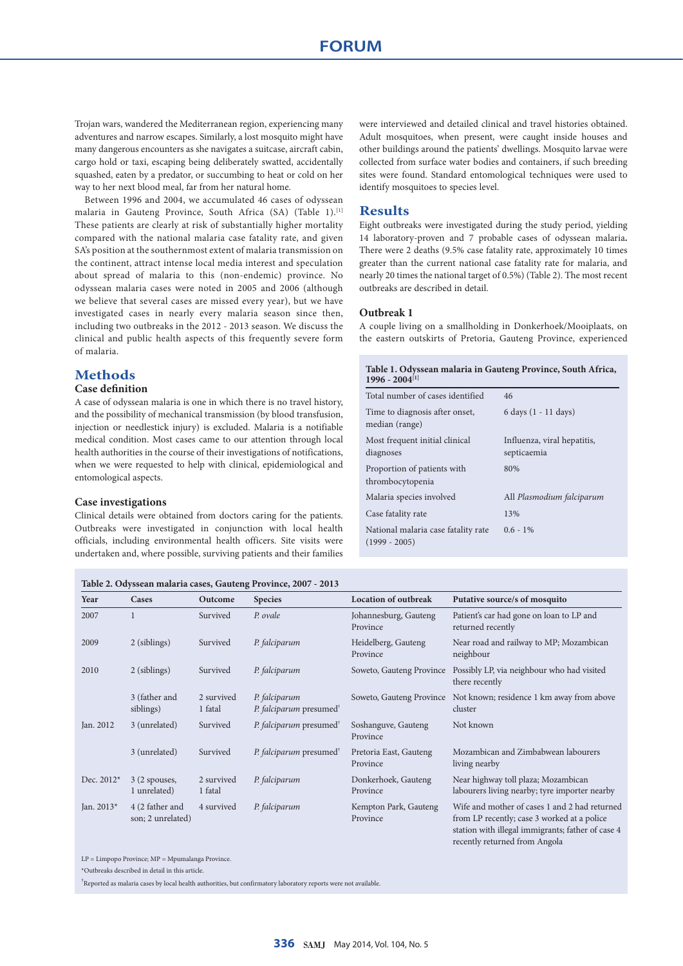Trojan wars, wandered the Mediterranean region, experiencing many adventures and narrow escapes. Similarly, a lost mosquito might have many dangerous encounters as she navigates a suitcase, aircraft cabin, cargo hold or taxi, escaping being deliberately swatted, accidentally squashed, eaten by a predator, or succumbing to heat or cold on her way to her next blood meal, far from her natural home.

Between 1996 and 2004, we accumulated 46 cases of odyssean malaria in Gauteng Province, South Africa (SA) (Table 1).<sup>[1]</sup> These patients are clearly at risk of substantially higher mortality compared with the national malaria case fatality rate, and given SA's position at the southernmost extent of malaria transmission on the continent, attract intense local media interest and speculation about spread of malaria to this (non-endemic) province. No odyssean malaria cases were noted in 2005 and 2006 (although we believe that several cases are missed every year), but we have investigated cases in nearly every malaria season since then, including two outbreaks in the 2012 - 2013 season. We discuss the clinical and public health aspects of this frequently severe form of malaria.

# **Methods**

## **Case definition**

A case of odyssean malaria is one in which there is no travel history, and the possibility of mechanical transmission (by blood transfusion, injection or needlestick injury) is excluded. Malaria is a notifiable medical condition. Most cases came to our attention through local health authorities in the course of their investigations of notifications, when we were requested to help with clinical, epidemiological and entomological aspects.

#### **Case investigations**

Clinical details were obtained from doctors caring for the patients. Outbreaks were investigated in conjunction with local health officials, including environmental health officers. Site visits were undertaken and, where possible, surviving patients and their families were interviewed and detailed clinical and travel histories obtained. Adult mosquitoes, when present, were caught inside houses and other buildings around the patients' dwellings. Mosquito larvae were collected from surface water bodies and containers, if such breeding sites were found. Standard entomological techniques were used to identify mosquitoes to species level.

# **Results**

Eight outbreaks were investigated during the study period, yielding 14 laboratory-proven and 7 probable cases of odyssean malaria**.** There were 2 deaths (9.5% case fatality rate, approximately 10 times greater than the current national case fatality rate for malaria, and nearly 20 times the national target of 0.5%) (Table 2). The most recent outbreaks are described in detail.

#### **Outbreak 1**

A couple living on a smallholding in Donkerhoek/Mooiplaats, on the eastern outskirts of Pretoria, Gauteng Province, experienced

#### **Table 1. Odyssean malaria in Gauteng Province, South Africa, 1996 - 2004[1]**

| Total number of cases identified                       | 46                                         |
|--------------------------------------------------------|--------------------------------------------|
| Time to diagnosis after onset,<br>median (range)       | 6 days (1 - 11 days)                       |
| Most frequent initial clinical<br>diagnoses            | Influenza, viral hepatitis,<br>septicaemia |
| Proportion of patients with<br>thrombocytopenia        | 80%                                        |
| Malaria species involved                               | All Plasmodium falciparum                  |
| Case fatality rate                                     | 13%                                        |
| National malaria case fatality rate<br>$(1999 - 2005)$ | $0.6 - 1\%$                                |

recently returned from Angola

|  | Table 2. Odyssean malaria cases, Gauteng Province, 2007 - 2013 |
|--|----------------------------------------------------------------|
|  |                                                                |

| Year       | Cases                                | Outcome               | <b>Species</b>                                       | <b>Location of outbreak</b>        | Putative source/s of mosquito                                                                                                                     |
|------------|--------------------------------------|-----------------------|------------------------------------------------------|------------------------------------|---------------------------------------------------------------------------------------------------------------------------------------------------|
| 2007       | $\mathbf{1}$                         | Survived              | P. ovale                                             | Johannesburg, Gauteng<br>Province  | Patient's car had gone on loan to LP and<br>returned recently                                                                                     |
| 2009       | 2 (siblings)                         | Survived              | P. falciparum                                        | Heidelberg, Gauteng<br>Province    | Near road and railway to MP; Mozambican<br>neighbour                                                                                              |
| 2010       | 2 (siblings)                         | Survived              | P. falciparum                                        | Soweto, Gauteng Province           | Possibly LP, via neighbour who had visited<br>there recently                                                                                      |
|            | 3 (father and<br>siblings)           | 2 survived<br>1 fatal | P. falciparum<br>P. falciparum presumed <sup>†</sup> | Soweto, Gauteng Province           | Not known; residence 1 km away from above<br>cluster                                                                                              |
| Jan. 2012  | 3 (unrelated)                        | Survived              | P. falciparum presumed <sup>†</sup>                  | Soshanguve, Gauteng<br>Province    | Not known                                                                                                                                         |
|            | 3 (unrelated)                        | Survived              | P. falciparum presumed <sup>®</sup>                  | Pretoria East, Gauteng<br>Province | Mozambican and Zimbabwean labourers<br>living nearby                                                                                              |
| Dec. 2012* | 3 (2 spouses,<br>1 unrelated)        | 2 survived<br>1 fatal | P. falciparum                                        | Donkerhoek, Gauteng<br>Province    | Near highway toll plaza; Mozambican<br>labourers living nearby; tyre importer nearby                                                              |
| Jan. 2013* | 4 (2 father and<br>son; 2 unrelated) | 4 survived            | P. falciparum                                        | Kempton Park, Gauteng<br>Province  | Wife and mother of cases 1 and 2 had returned<br>from LP recently; case 3 worked at a police<br>station with illegal immigrants; father of case 4 |

LP = Limpopo Province; MP = Mpumalanga Province.

\*Outbreaks described in detail in this article.

† Reported as malaria cases by local health authorities, but confirmatory laboratory reports were not available.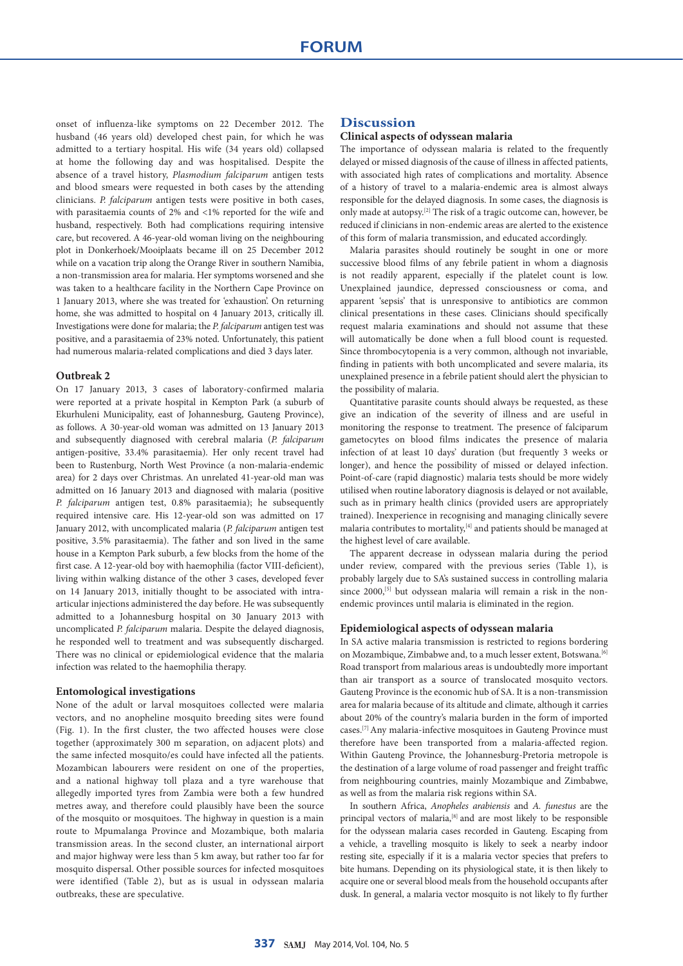onset of influenza-like symptoms on 22 December 2012. The husband (46 years old) developed chest pain, for which he was admitted to a tertiary hospital. His wife (34 years old) collapsed at home the following day and was hospitalised. Despite the absence of a travel history, *Plasmodium falciparum* antigen tests and blood smears were requested in both cases by the attending clinicians. *P. falciparum* antigen tests were positive in both cases, with parasitaemia counts of 2% and <1% reported for the wife and husband, respectively. Both had complications requiring intensive care, but recovered. A 46-year-old woman living on the neighbouring plot in Donkerhoek/Mooiplaats became ill on 25 December 2012 while on a vacation trip along the Orange River in southern Namibia, a non-transmission area for malaria. Her symptoms worsened and she was taken to a healthcare facility in the Northern Cape Province on 1 January 2013, where she was treated for 'exhaustion'. On returning home, she was admitted to hospital on 4 January 2013, critically ill. Investigations were done for malaria; the *P. falciparum* antigen test was positive, and a parasitaemia of 23% noted. Unfortunately, this patient had numerous malaria-related complications and died 3 days later.

#### **Outbreak 2**

On 17 January 2013, 3 cases of laboratory-confirmed malaria were reported at a private hospital in Kempton Park (a suburb of Ekurhuleni Municipality, east of Johannesburg, Gauteng Province), as follows. A 30-year-old woman was admitted on 13 January 2013 and subsequently diagnosed with cerebral malaria (*P. falciparum* antigen-positive, 33.4% parasitaemia). Her only recent travel had been to Rustenburg, North West Province (a non-malaria-endemic area) for 2 days over Christmas. An unrelated 41-year-old man was admitted on 16 January 2013 and diagnosed with malaria (positive *P. falciparum* antigen test, 0.8% parasitaemia); he subsequently required intensive care. His 12-year-old son was admitted on 17 January 2012, with uncomplicated malaria (*P. falciparum* antigen test positive, 3.5% parasitaemia). The father and son lived in the same house in a Kempton Park suburb, a few blocks from the home of the first case. A 12-year-old boy with haemophilia (factor VIII-deficient), living within walking distance of the other 3 cases, developed fever on 14 January 2013, initially thought to be associated with intraarticular injections administered the day before. He was subsequently admitted to a Johannesburg hospital on 30 January 2013 with uncomplicated *P. falciparum* malaria. Despite the delayed diagnosis, he responded well to treatment and was subsequently discharged. There was no clinical or epidemiological evidence that the malaria infection was related to the haemophilia therapy.

#### **Entomological investigations**

None of the adult or larval mosquitoes collected were malaria vectors, and no anopheline mosquito breeding sites were found (Fig. 1). In the first cluster, the two affected houses were close together (approximately 300 m separation, on adjacent plots) and the same infected mosquito/es could have infected all the patients. Mozambican labourers were resident on one of the properties, and a national highway toll plaza and a tyre warehouse that allegedly imported tyres from Zambia were both a few hundred metres away, and therefore could plausibly have been the source of the mosquito or mosquitoes. The highway in question is a main route to Mpumalanga Province and Mozambique, both malaria transmission areas. In the second cluster, an international airport and major highway were less than 5 km away, but rather too far for mosquito dispersal. Other possible sources for infected mosquitoes were identified (Table 2), but as is usual in odyssean malaria outbreaks, these are speculative.

# **Discussion**

### **Clinical aspects of odyssean malaria**

The importance of odyssean malaria is related to the frequently delayed or missed diagnosis of the cause of illness in affected patients, with associated high rates of complications and mortality. Absence of a history of travel to a malaria-endemic area is almost always responsible for the delayed diagnosis. In some cases, the diagnosis is only made at autopsy.[2] The risk of a tragic outcome can, however, be reduced if clinicians in non-endemic areas are alerted to the existence of this form of malaria transmission, and educated accordingly.

Malaria parasites should routinely be sought in one or more successive blood films of any febrile patient in whom a diagnosis is not readily apparent, especially if the platelet count is low. Unexplained jaundice, depressed consciousness or coma, and apparent 'sepsis' that is unresponsive to antibiotics are common clinical presentations in these cases. Clinicians should specifically request malaria examinations and should not assume that these will automatically be done when a full blood count is requested. Since thrombocytopenia is a very common, although not invariable, finding in patients with both uncomplicated and severe malaria, its unexplained presence in a febrile patient should alert the physician to the possibility of malaria.

Quantitative parasite counts should always be requested, as these give an indication of the severity of illness and are useful in monitoring the response to treatment. The presence of falciparum gametocytes on blood films indicates the presence of malaria infection of at least 10 days' duration (but frequently 3 weeks or longer), and hence the possibility of missed or delayed infection. Point-of-care (rapid diagnostic) malaria tests should be more widely utilised when routine laboratory diagnosis is delayed or not available, such as in primary health clinics (provided users are appropriately trained). Inexperience in recognising and managing clinically severe malaria contributes to mortality,[4] and patients should be managed at the highest level of care available.

The apparent decrease in odyssean malaria during the period under review, compared with the previous series (Table 1), is probably largely due to SA's sustained success in controlling malaria since 2000,<sup>[5]</sup> but odyssean malaria will remain a risk in the nonendemic provinces until malaria is eliminated in the region.

#### **Epidemiological aspects of odyssean malaria**

In SA active malaria transmission is restricted to regions bordering on Mozambique, Zimbabwe and, to a much lesser extent, Botswana.<sup>[6]</sup> Road transport from malarious areas is undoubtedly more important than air transport as a source of translocated mosquito vectors. Gauteng Province is the economic hub of SA. It is a non-transmission area for malaria because of its altitude and climate, although it carries about 20% of the country's malaria burden in the form of imported cases.[7] Any malaria-infective mosquitoes in Gauteng Province must therefore have been transported from a malaria-affected region. Within Gauteng Province, the Johannesburg-Pretoria metropole is the destination of a large volume of road passenger and freight traffic from neighbouring countries, mainly Mozambique and Zimbabwe, as well as from the malaria risk regions within SA.

In southern Africa, *Anopheles arabiensis* and *A. funestus* are the principal vectors of malaria,<sup>[8]</sup> and are most likely to be responsible for the odyssean malaria cases recorded in Gauteng. Escaping from a vehicle, a travelling mosquito is likely to seek a nearby indoor resting site, especially if it is a malaria vector species that prefers to bite humans. Depending on its physiological state, it is then likely to acquire one or several blood meals from the household occupants after dusk. In general, a malaria vector mosquito is not likely to fly further